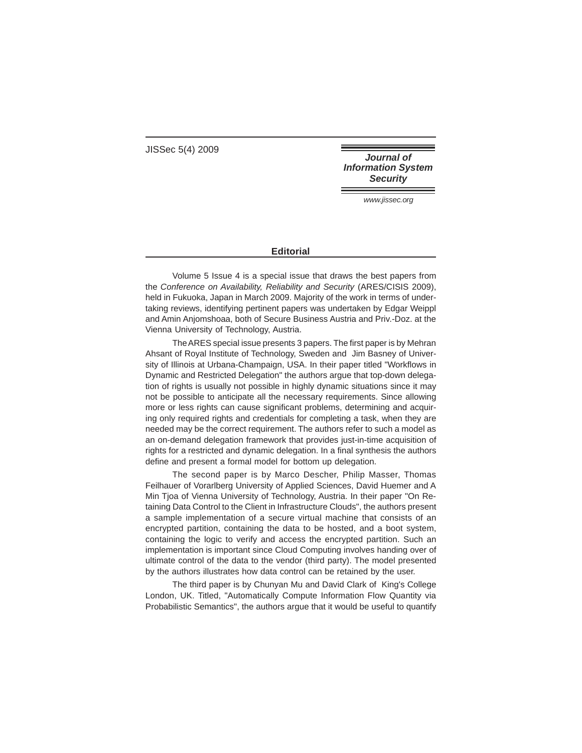JISSec 5(4) 2009

**Journal of Information System Security** 

www.jissec.org

## **Editorial**

Volume 5 Issue 4 is a special issue that draws the best papers from the Conference on Availability, Reliability and Security (ARES/CISIS 2009), held in Fukuoka, Japan in March 2009. Majority of the work in terms of undertaking reviews, identifying pertinent papers was undertaken by Edgar Weippl and Amin Anjomshoaa, both of Secure Business Austria and Priv.-Doz. at the Vienna University of Technology, Austria.

The ARES special issue presents 3 papers. The first paper is by Mehran Ahsant of Royal Institute of Technology, Sweden and Jim Basney of University of Illinois at Urbana-Champaign, USA. In their paper titled "Workflows in Dynamic and Restricted Delegation" the authors argue that top-down delegation of rights is usually not possible in highly dynamic situations since it may not be possible to anticipate all the necessary requirements. Since allowing more or less rights can cause significant problems, determining and acquiring only required rights and credentials for completing a task, when they are needed may be the correct requirement. The authors refer to such a model as an on-demand delegation framework that provides just-in-time acquisition of rights for a restricted and dynamic delegation. In a final synthesis the authors define and present a formal model for bottom up delegation.

The second paper is by Marco Descher, Philip Masser, Thomas Feilhauer of Vorarlberg University of Applied Sciences, David Huemer and A Min Tjoa of Vienna University of Technology, Austria. In their paper "On Retaining Data Control to the Client in Infrastructure Clouds", the authors present a sample implementation of a secure virtual machine that consists of an encrypted partition, containing the data to be hosted, and a boot system, containing the logic to verify and access the encrypted partition. Such an implementation is important since Cloud Computing involves handing over of ultimate control of the data to the vendor (third party). The model presented by the authors illustrates how data control can be retained by the user.

The third paper is by Chunyan Mu and David Clark of King's College London, UK. Titled, "Automatically Compute Information Flow Quantity via Probabilistic Semantics", the authors argue that it would be useful to quantify